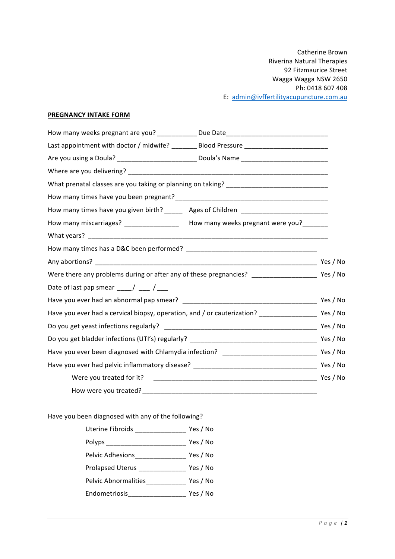### **PREGNANCY INTAKE FORM**

| How many weeks pregnant are you? _____________Due Date__________________________                       |          |
|--------------------------------------------------------------------------------------------------------|----------|
| Last appointment with doctor / midwife? ________ Blood Pressure _______________________                |          |
| Are you using a Doula? ____________________________Doula's Name ___________________________________    |          |
|                                                                                                        |          |
|                                                                                                        |          |
|                                                                                                        |          |
| How many times have you given birth? ______ Ages of Children ____________________                      |          |
| How many miscarriages? ___________________ How many weeks pregnant were you?_______                    |          |
|                                                                                                        |          |
|                                                                                                        |          |
|                                                                                                        |          |
|                                                                                                        |          |
| Date of last pap smear $\frac{1}{\sqrt{2}}$ / $\frac{1}{\sqrt{2}}$                                     |          |
|                                                                                                        |          |
| Have you ever had a cervical biopsy, operation, and / or cauterization? _____________________ Yes / No |          |
|                                                                                                        |          |
|                                                                                                        |          |
|                                                                                                        |          |
|                                                                                                        |          |
|                                                                                                        | Yes / No |
|                                                                                                        |          |

Have you been diagnosed with any of the following?

| Uterine Fibroids _________          | Yes / No |
|-------------------------------------|----------|
| Polyps _____________________        | Yes / No |
| Pelvic Adhesions <b>Secure 1999</b> | Yes / No |
| Prolapsed Uterus ______________     | Yes / No |
| Pelvic Abnormalities                | Yes / No |
| Endometriosis________________       | Yes / No |
|                                     |          |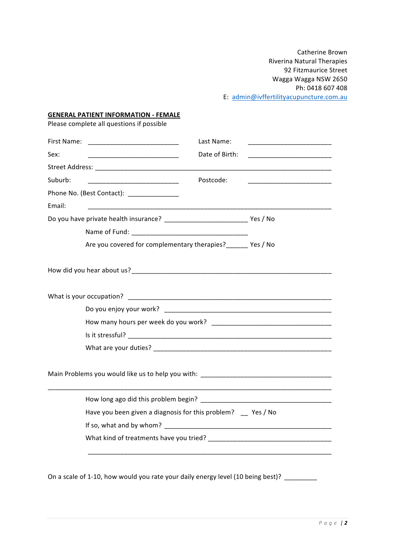### **GENERAL PATIENT INFORMATION - FEMALE**

Please complete all questions if possible

|         |                                                                                          | Last Name:     |  |
|---------|------------------------------------------------------------------------------------------|----------------|--|
| Sex:    | <u> 1999 - Johann Marie Barn, mars ann an t-</u>                                         | Date of Birth: |  |
|         |                                                                                          |                |  |
| Suburb: |                                                                                          | Postcode:      |  |
|         | Phone No. (Best Contact): ______________                                                 |                |  |
| Email:  |                                                                                          |                |  |
|         |                                                                                          |                |  |
|         |                                                                                          |                |  |
|         | Are you covered for complementary therapies? _______ Yes / No                            |                |  |
|         |                                                                                          |                |  |
|         |                                                                                          |                |  |
|         |                                                                                          |                |  |
|         |                                                                                          |                |  |
|         |                                                                                          |                |  |
|         |                                                                                          |                |  |
|         |                                                                                          |                |  |
|         |                                                                                          |                |  |
|         | Have you been given a diagnosis for this problem? _ Yes / No                             |                |  |
|         |                                                                                          |                |  |
|         |                                                                                          |                |  |
|         | On a scale of 1-10, how would you rate your daily energy level (10 being best)? ________ |                |  |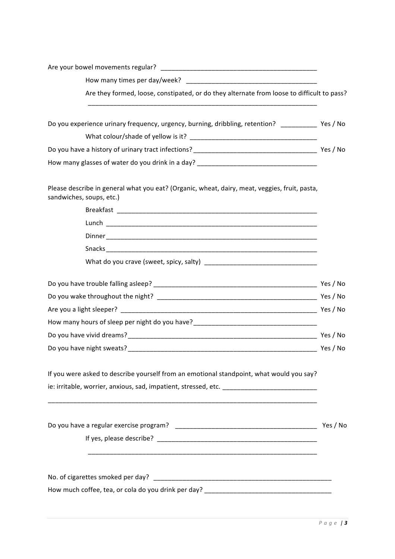| How many times per day/week?                                                                                                                                                                                        |          |
|---------------------------------------------------------------------------------------------------------------------------------------------------------------------------------------------------------------------|----------|
| Are they formed, loose, constipated, or do they alternate from loose to difficult to pass?<br><u> 1989 - Johann Harry Harry Harry Harry Harry Harry Harry Harry Harry Harry Harry Harry Harry Harry Harry Harry</u> |          |
| Do you experience urinary frequency, urgency, burning, dribbling, retention? _____________ Yes / No                                                                                                                 |          |
|                                                                                                                                                                                                                     |          |
|                                                                                                                                                                                                                     |          |
| How many glasses of water do you drink in a day? ________________________________                                                                                                                                   |          |
| Please describe in general what you eat? (Organic, wheat, dairy, meat, veggies, fruit, pasta,<br>sandwiches, soups, etc.)                                                                                           |          |
|                                                                                                                                                                                                                     |          |
|                                                                                                                                                                                                                     |          |
|                                                                                                                                                                                                                     |          |
|                                                                                                                                                                                                                     |          |
|                                                                                                                                                                                                                     |          |
|                                                                                                                                                                                                                     |          |
|                                                                                                                                                                                                                     |          |
|                                                                                                                                                                                                                     |          |
| How many hours of sleep per night do you have?___________________________________                                                                                                                                   |          |
|                                                                                                                                                                                                                     |          |
|                                                                                                                                                                                                                     |          |
| If you were asked to describe yourself from an emotional standpoint, what would you say?                                                                                                                            |          |
| ie: irritable, worrier, anxious, sad, impatient, stressed, etc. ___________________________________                                                                                                                 |          |
|                                                                                                                                                                                                                     |          |
|                                                                                                                                                                                                                     | Yes / No |
|                                                                                                                                                                                                                     |          |
|                                                                                                                                                                                                                     |          |
|                                                                                                                                                                                                                     |          |
|                                                                                                                                                                                                                     |          |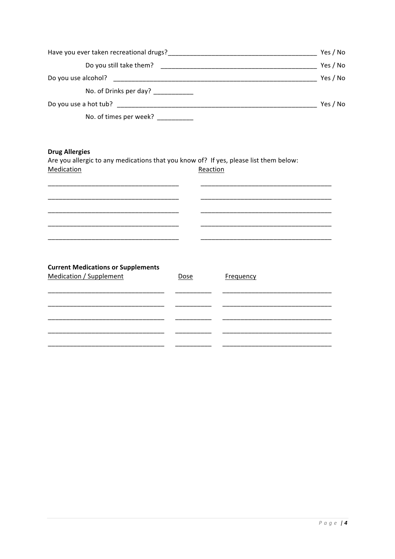| Have you ever taken recreational drugs? | Yes / No |
|-----------------------------------------|----------|
| Do you still take them?                 | Yes / No |
| Do you use alcohol?                     | Yes / No |
| No. of Drinks per day?                  |          |
| Do you use a hot tub?                   | Yes / No |
| No. of times per week?                  |          |

# **Drug Allergies**

Are you allergic to any medications that you know of? If yes, please list them below: Medication Reaction

| <b>Current Medications or Supplements</b><br><b>Medication / Supplement</b> | <b>Dose</b> | Frequency |  |
|-----------------------------------------------------------------------------|-------------|-----------|--|
|                                                                             |             |           |  |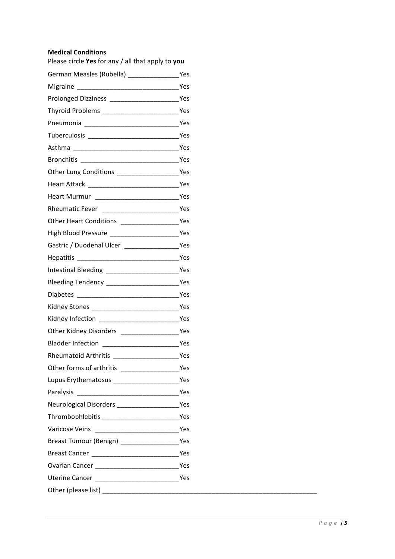### **Medical Conditions**

| Please circle Yes for any / all that apply to you                                                                      |  |
|------------------------------------------------------------------------------------------------------------------------|--|
| German Measles (Rubella) [19] Yes                                                                                      |  |
|                                                                                                                        |  |
| Prolonged Dizziness _________________________Yes                                                                       |  |
|                                                                                                                        |  |
|                                                                                                                        |  |
|                                                                                                                        |  |
|                                                                                                                        |  |
|                                                                                                                        |  |
|                                                                                                                        |  |
|                                                                                                                        |  |
|                                                                                                                        |  |
|                                                                                                                        |  |
|                                                                                                                        |  |
|                                                                                                                        |  |
|                                                                                                                        |  |
|                                                                                                                        |  |
| Intestinal Bleeding _________________________Yes                                                                       |  |
|                                                                                                                        |  |
|                                                                                                                        |  |
|                                                                                                                        |  |
|                                                                                                                        |  |
|                                                                                                                        |  |
|                                                                                                                        |  |
| Rheumatoid Arthritis <b>Exercise Service Service Service Service Service Service Service Service Service Service S</b> |  |
|                                                                                                                        |  |
| Lupus Erythematosus _______________________Yes                                                                         |  |
|                                                                                                                        |  |
|                                                                                                                        |  |
|                                                                                                                        |  |
|                                                                                                                        |  |
|                                                                                                                        |  |
|                                                                                                                        |  |
|                                                                                                                        |  |
| Uterine Cancer _______________________________Yes                                                                      |  |
|                                                                                                                        |  |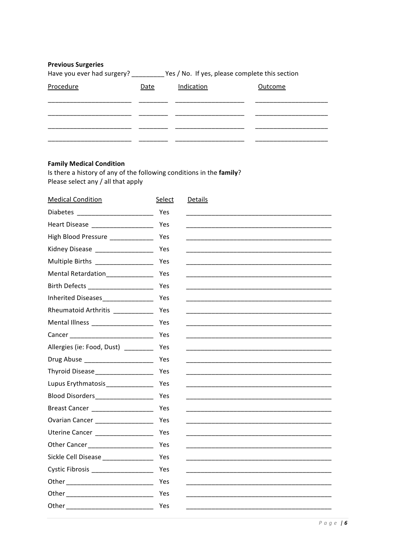| <b>Previous Surgeries</b><br>Have you ever had surgery? | Yes / No. If yes, please complete this section |            |         |  |
|---------------------------------------------------------|------------------------------------------------|------------|---------|--|
| Procedure                                               | Date                                           | Indication | Outcome |  |
|                                                         |                                                |            |         |  |
|                                                         |                                                |            |         |  |
|                                                         |                                                |            |         |  |
|                                                         |                                                |            |         |  |

# **Family Medical Condition**

Is there a history of any of the following conditions in the **family**?<br>Please select any / all that apply

| <b>Medical Condition</b>              | Select | <b>Details</b> |
|---------------------------------------|--------|----------------|
|                                       | Yes    |                |
| Heart Disease _____________________   | Yes    |                |
| High Blood Pressure ____________      | Yes    |                |
| Kidney Disease ___________________    | Yes    |                |
| Multiple Births ________________      | Yes    |                |
| Mental Retardation_____________       | Yes    |                |
| Birth Defects _______________________ | Yes    |                |
| Inherited Diseases_________________   | Yes    |                |
| Rheumatoid Arthritis ___________      | Yes    |                |
|                                       | Yes    |                |
|                                       | Yes    |                |
| Allergies (ie: Food, Dust)            | Yes    |                |
| Drug Abuse _______________________    | Yes    |                |
| Thyroid Disease___________________    | Yes    |                |
| Lupus Erythmatosis______________      | Yes    |                |
| Blood Disorders___________________    | Yes    |                |
| Breast Cancer ______________________  | Yes    |                |
| Ovarian Cancer ___________________    | Yes    |                |
| Uterine Cancer ___________________    | Yes    |                |
|                                       | Yes    |                |
| Sickle Cell Disease_________________  | Yes    |                |
| Cystic Fibrosis ___________________   | Yes    |                |
|                                       | Yes    |                |
|                                       | Yes    |                |
|                                       | Yes    |                |
|                                       |        |                |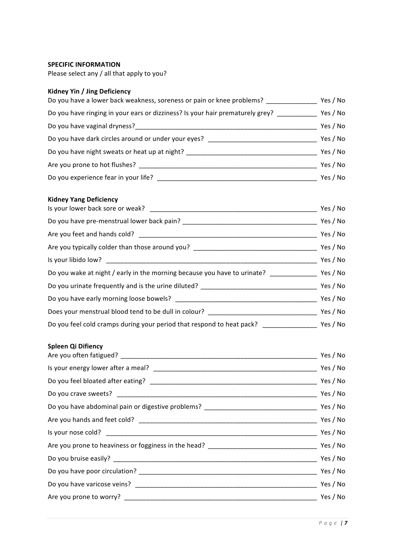#### **SPECIFIC INFORMATION**

Please select any / all that apply to you?

## **Kidney Yin / Jing Deficiency**

| Do you have a lower back weakness, soreness or pain or knee problems?         |          |
|-------------------------------------------------------------------------------|----------|
| Do you have ringing in your ears or dizziness? Is your hair prematurely grey? | Yes / No |
| Do you have vaginal dryness?                                                  | Yes / No |
| Do you have dark circles around or under your eyes?                           | Yes / No |
| Do you have night sweats or heat up at night?                                 | Yes / No |
| Are you prone to hot flushes?                                                 | Yes / No |
| Do you experience fear in your life?                                          | Yes / No |

### **Kidney Yang Deficiency**

| Yes / No                                                                                          |
|---------------------------------------------------------------------------------------------------|
| Yes / No                                                                                          |
| Yes / No                                                                                          |
| Yes / No                                                                                          |
| Yes / No                                                                                          |
| Do you wake at night / early in the morning because you have to urinate? _______________ Yes / No |
|                                                                                                   |
| Yes / No                                                                                          |
| Yes / No                                                                                          |
| Yes / No                                                                                          |
|                                                                                                   |

#### **Spleen!Qi!Difiency!**

| Yes / No |
|----------|
|          |
|          |
|          |
|          |
|          |
|          |
|          |
|          |
|          |
| Yes / No |
|          |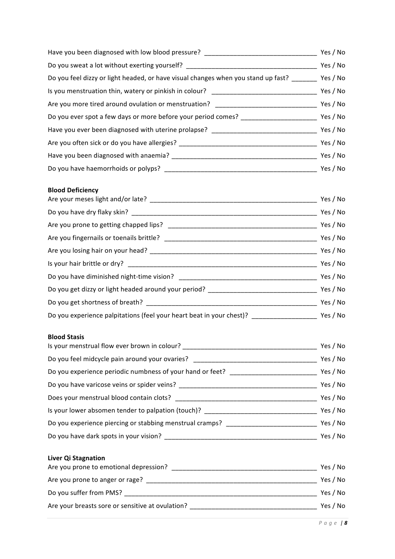| Have you been diagnosed with low blood pressure?                                         |          |
|------------------------------------------------------------------------------------------|----------|
| Do you sweat a lot without exerting yourself? ___________                                |          |
| Do you feel dizzy or light headed, or have visual changes when you stand up fast? ______ | Yes / No |
| Is you menstruation thin, watery or pinkish in colour?                                   | Yes / No |
| Are you more tired around ovulation or menstruation?                                     | Yes / No |
| Do you ever spot a few days or more before your period comes?                            |          |
| Have you ever been diagnosed with uterine prolapse?                                      | Yes / No |
| Are you often sick or do you have allergies? ___________________________________         |          |
|                                                                                          |          |
| Do you have haemorrhoids or polyps?                                                      | Yes / No |

# **Blood!Deficiency!**

| Yes / No                                                                                     |
|----------------------------------------------------------------------------------------------|
| Yes / No                                                                                     |
| Yes / No                                                                                     |
| Yes / No                                                                                     |
| Yes / No                                                                                     |
| Yes / No                                                                                     |
| Yes / No                                                                                     |
| Yes / No<br>Do you get dizzy or light headed around your period? ___________________________ |
| Yes / No                                                                                     |
| Yes / No<br>Do you experience palpitations (feel your heart beat in your chest)?             |
|                                                                                              |

### **Blood Stasis**

| Is your menstrual flow ever brown in colour?              |          |  |
|-----------------------------------------------------------|----------|--|
| Do you feel midcycle pain around your ovaries?            | Yes / No |  |
| Do you experience periodic numbness of your hand or feet? | Yes / No |  |
| Do you have varicose veins or spider veins?               |          |  |
| Does your menstrual blood contain clots?                  | Yes / No |  |
| Is your lower absomen tender to palpation (touch)?        | Yes / No |  |
| Do you experience piercing or stabbing menstrual cramps?  |          |  |
| Do you have dark spots in your vision?                    | Yes / No |  |

# **Liver Qi Stagnation**

| Are you prone to emotional depression?           | Yes / No |
|--------------------------------------------------|----------|
| Are you prone to anger or rage?                  | Yes / No |
| Do you suffer from PMS?                          | Yes / No |
| Are your breasts sore or sensitive at ovulation? | Yes / No |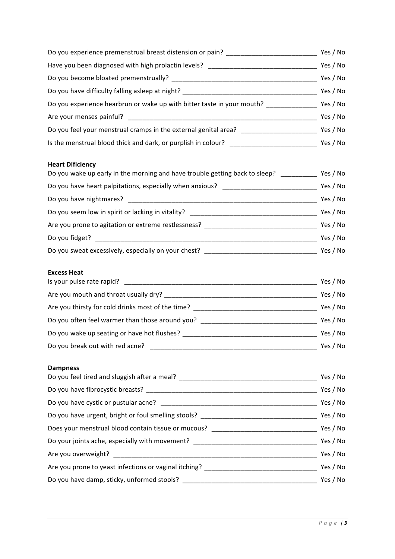| Do you experience premenstrual breast distension or pain?                        | Yes / No |
|----------------------------------------------------------------------------------|----------|
| Have you been diagnosed with high prolactin levels?                              | Yes / No |
|                                                                                  | Yes / No |
| Do you have difficulty falling asleep at night?                                  | Yes / No |
| Do you experience hearbrun or wake up with bitter taste in your mouth? _________ | Yes / No |
| Are your menses painful?                                                         | Yes / No |
| Do you feel your menstrual cramps in the external genital area? ________________ | Yes / No |
| Is the menstrual blood thick and dark, or purplish in colour?                    | Yes / No |

# **Heart Dificiency**

| Do you wake up early in the morning and have trouble getting back to sleep? |          |
|-----------------------------------------------------------------------------|----------|
| Do you have heart palpitations, especially when anxious?                    | Yes / No |
| Do you have nightmares?                                                     | Yes / No |
| Do you seem low in spirit or lacking in vitality?                           | Yes / No |
| Are you prone to agitation or extreme restlessness?                         | Yes / No |
| Do you fidget?                                                              | Yes / No |
| Do you sweat excessively, especially on your chest?                         | Yes / No |

#### **Excess Heat**

| Is your pulse rate rapid?                         | Yes / No |
|---------------------------------------------------|----------|
| Are you mouth and throat usually dry?             | Yes / No |
| Are you thirsty for cold drinks most of the time? | Yes / No |
| Do you often feel warmer than those around you?   | Yes / No |
| Do you wake up seating or have hot flushes?       | Yes / No |
| Do you break out with red acne?                   | Yes / No |

### **Dampness**

| Do you feel tired and sluggish after a meal? ___________________________________                               |          |
|----------------------------------------------------------------------------------------------------------------|----------|
|                                                                                                                | Yes / No |
|                                                                                                                | Yes / No |
| Do you have urgent, bright or foul smelling stools? ____________________________                               | Yes / No |
| Does your menstrual blood contain tissue or mucous? Letterman and the control of the control of the control of | Yes / No |
| Do your joints ache, especially with movement? _________________________________                               | Yes / No |
|                                                                                                                | Yes / No |
| Are you prone to yeast infections or vaginal itching?                                                          | Yes / No |
|                                                                                                                | Yes / No |
|                                                                                                                |          |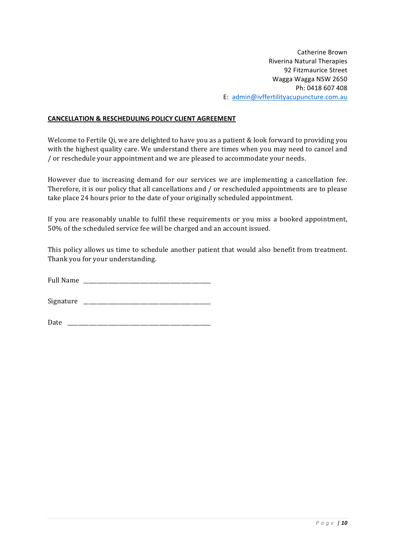### **CANCELLATION & RESCHEDULING POLICY CLIENT AGREEMENT**

Welcome to Fertile Qi, we are delighted to have you as a patient & look forward to providing you with the highest quality care. We understand there are times when you may need to cancel and /'or'reschedule'your'appointment'and'we'are'pleased'to'accommodate'your'needs.

However due to increasing demand for our services we are implementing a cancellation fee. Therefore, it is our policy that all cancellations and / or rescheduled appointments are to please take place 24 hours prior to the date of your originally scheduled appointment.

If you are reasonably unable to fulfil these requirements or you miss a booked appointment, 50% of the scheduled service fee will be charged and an account issued.

This policy allows us time to schedule another patient that would also benefit from treatment. Thank you for your understanding.

Full Name

Signature  $\Box$ 

Date'''\_\_\_\_\_\_\_\_\_\_\_\_\_\_\_\_\_\_\_\_\_\_\_\_\_\_\_\_\_\_\_\_\_\_\_\_\_\_\_\_\_\_\_\_\_\_\_\_\_\_\_\_\_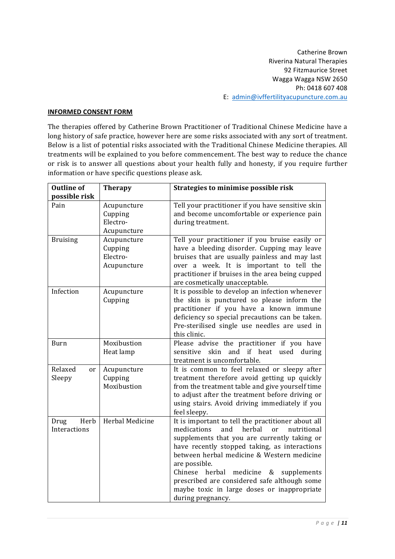#### **INFORMED CONSENT FORM**

The therapies offered by Catherine Brown Practitioner of Traditional Chinese Medicine have a long history of safe practice, however here are some risks associated with any sort of treatment. Below is a list of potential risks associated with the Traditional Chinese Medicine therapies. All treatments will be explained to you before commencement. The best way to reduce the chance or risk is to answer all questions about your health fully and honesty, if you require further information or have specific questions please ask.

| <b>Outline of</b><br>possible risk | <b>Therapy</b>                                    | Strategies to minimise possible risk                                                                                                                                                                                                                                                                                                                                                                                                                        |
|------------------------------------|---------------------------------------------------|-------------------------------------------------------------------------------------------------------------------------------------------------------------------------------------------------------------------------------------------------------------------------------------------------------------------------------------------------------------------------------------------------------------------------------------------------------------|
| Pain                               | Acupuncture<br>Cupping<br>Electro-<br>Acupuncture | Tell your practitioner if you have sensitive skin<br>and become uncomfortable or experience pain<br>during treatment.                                                                                                                                                                                                                                                                                                                                       |
| <b>Bruising</b>                    | Acupuncture<br>Cupping<br>Electro-<br>Acupuncture | Tell your practitioner if you bruise easily or<br>have a bleeding disorder. Cupping may leave<br>bruises that are usually painless and may last<br>over a week. It is important to tell the<br>practitioner if bruises in the area being cupped<br>are cosmetically unacceptable.                                                                                                                                                                           |
| Infection                          | Acupuncture<br>Cupping                            | It is possible to develop an infection whenever<br>the skin is punctured so please inform the<br>practitioner if you have a known immune<br>deficiency so special precautions can be taken.<br>Pre-sterilised single use needles are used in<br>this clinic.                                                                                                                                                                                                |
| <b>Burn</b>                        | Moxibustion<br>Heat lamp                          | Please advise the practitioner if you have<br>and if heat used during<br>skin<br>sensitive<br>treatment is uncomfortable.                                                                                                                                                                                                                                                                                                                                   |
| Relaxed<br>or<br>Sleepy            | Acupuncture<br>Cupping<br>Moxibustion             | It is common to feel relaxed or sleepy after<br>treatment therefore avoid getting up quickly<br>from the treatment table and give yourself time<br>to adjust after the treatment before driving or<br>using stairs. Avoid driving immediately if you<br>feel sleepy.                                                                                                                                                                                        |
| Herb<br>Drug<br>Interactions       | Herbal Medicine                                   | It is important to tell the practitioner about all<br>medications<br>herbal<br>and<br>nutritional<br><sub>or</sub><br>supplements that you are currently taking or<br>have recently stopped taking, as interactions<br>between herbal medicine & Western medicine<br>are possible.<br>Chinese<br>medicine<br>herbal<br>&<br>supplements<br>prescribed are considered safe although some<br>maybe toxic in large doses or inappropriate<br>during pregnancy. |